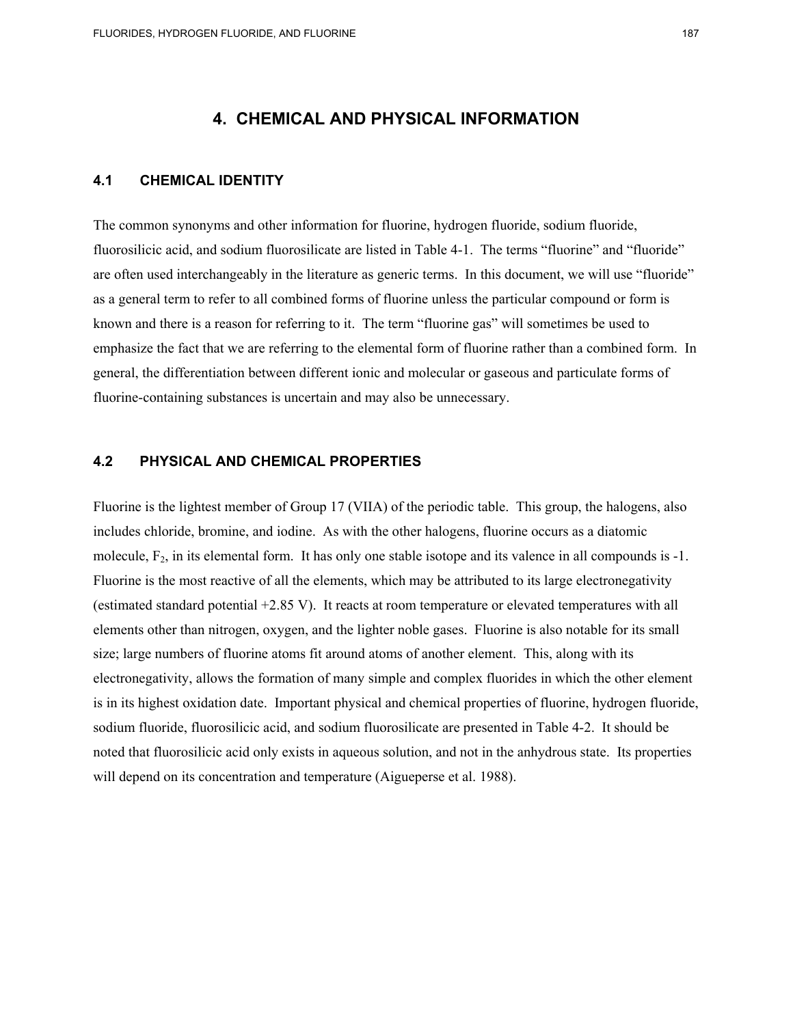# **4. CHEMICAL AND PHYSICAL INFORMATION**

#### **4.1 CHEMICAL IDENTITY**

The common synonyms and other information for fluorine, hydrogen fluoride, sodium fluoride, fluorosilicic acid, and sodium fluorosilicate are listed in Table 4-1. The terms "fluorine" and "fluoride" are often used interchangeably in the literature as generic terms. In this document, we will use "fluoride" as a general term to refer to all combined forms of fluorine unless the particular compound or form is known and there is a reason for referring to it. The term "fluorine gas" will sometimes be used to emphasize the fact that we are referring to the elemental form of fluorine rather than a combined form. In general, the differentiation between different ionic and molecular or gaseous and particulate forms of fluorine-containing substances is uncertain and may also be unnecessary.

#### **4.2 PHYSICAL AND CHEMICAL PROPERTIES**

Fluorine is the lightest member of Group 17 (VIIA) of the periodic table. This group, the halogens, also includes chloride, bromine, and iodine. As with the other halogens, fluorine occurs as a diatomic molecule,  $F_2$ , in its elemental form. It has only one stable isotope and its valence in all compounds is  $-1$ . Fluorine is the most reactive of all the elements, which may be attributed to its large electronegativity (estimated standard potential +2.85 V). It reacts at room temperature or elevated temperatures with all elements other than nitrogen, oxygen, and the lighter noble gases. Fluorine is also notable for its small size; large numbers of fluorine atoms fit around atoms of another element. This, along with its electronegativity, allows the formation of many simple and complex fluorides in which the other element is in its highest oxidation date. Important physical and chemical properties of fluorine, hydrogen fluoride, sodium fluoride, fluorosilicic acid, and sodium fluorosilicate are presented in Table 4-2. It should be noted that fluorosilicic acid only exists in aqueous solution, and not in the anhydrous state. Its properties will depend on its concentration and temperature (Aigueperse et al. 1988).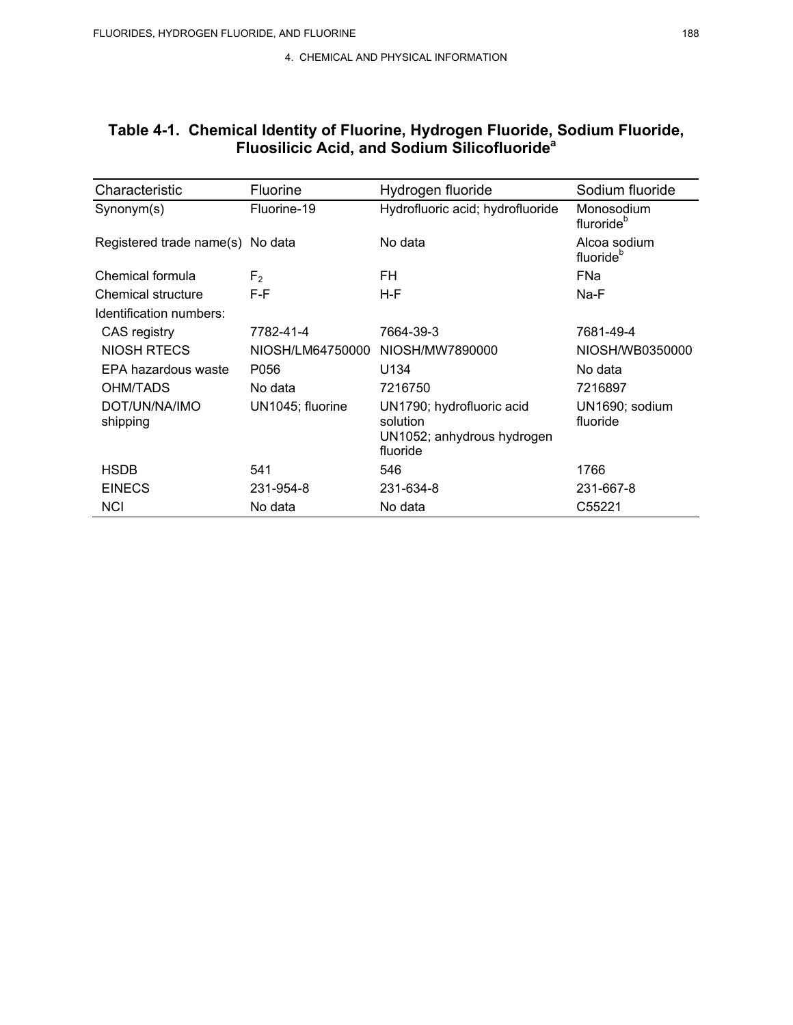| Characteristic                   | Fluorine         | Hydrogen fluoride                                                               | Sodium fluoride                       |
|----------------------------------|------------------|---------------------------------------------------------------------------------|---------------------------------------|
| Synonym(s)                       | Fluorine-19      | Hydrofluoric acid; hydrofluoride                                                | Monosodium<br>fluroride <sup>b</sup>  |
| Registered trade name(s) No data |                  | No data                                                                         | Alcoa sodium<br>fluoride <sup>b</sup> |
| Chemical formula                 | F <sub>2</sub>   | FH                                                                              | <b>FNa</b>                            |
| Chemical structure               | F-F              | H-F                                                                             | Na-F                                  |
| Identification numbers:          |                  |                                                                                 |                                       |
| CAS registry                     | 7782-41-4        | 7664-39-3                                                                       | 7681-49-4                             |
| NIOSH RTECS                      | NIOSH/LM64750000 | NIOSH/MW7890000                                                                 | NIOSH/WB0350000                       |
| EPA hazardous waste              | P056             | U134                                                                            | No data                               |
| OHM/TADS                         | No data          | 7216750                                                                         | 7216897                               |
| DOT/UN/NA/IMO<br>shipping        | UN1045; fluorine | UN1790; hydrofluoric acid<br>solution<br>UN1052; anhydrous hydrogen<br>fluoride | UN1690; sodium<br>fluoride            |
| <b>HSDB</b>                      | 541              | 546                                                                             | 1766                                  |
| <b>EINECS</b>                    | 231-954-8        | 231-634-8                                                                       | 231-667-8                             |
| <b>NCI</b>                       | No data          | No data                                                                         | C55221                                |

### **Table 4-1. Chemical Identity of Fluorine, Hydrogen Fluoride, Sodium Fluoride, Fluosilicic Acid, and Sodium Silicofluoridea**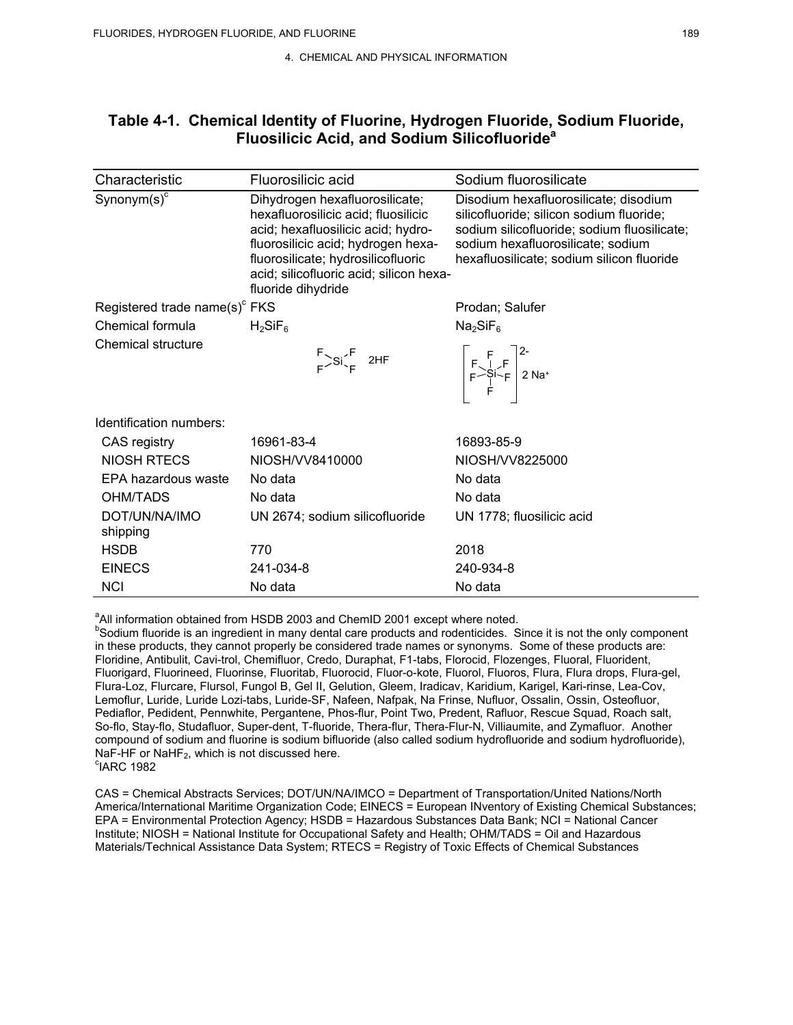### **Table 4-1. Chemical Identity of Fluorine, Hydrogen Fluoride, Sodium Fluoride, Fluosilicic Acid, and Sodium Silicofluoridea**

| Characteristic                            | Fluorosilicic acid                                                                                                                                                                                                                                       | Sodium fluorosilicate                                                                                                                                                                                              |
|-------------------------------------------|----------------------------------------------------------------------------------------------------------------------------------------------------------------------------------------------------------------------------------------------------------|--------------------------------------------------------------------------------------------------------------------------------------------------------------------------------------------------------------------|
| Synonym $(s)^c$                           | Dihydrogen hexafluorosilicate;<br>hexafluorosilicic acid; fluosilicic<br>acid; hexafluosilicic acid; hydro-<br>fluorosilicic acid; hydrogen hexa-<br>fluorosilicate; hydrosilicofluoric<br>acid; silicofluoric acid; silicon hexa-<br>fluoride dihydride | Disodium hexafluorosilicate; disodium<br>silicofluoride; silicon sodium fluoride;<br>sodium silicofluoride; sodium fluosilicate;<br>sodium hexafluorosilicate; sodium<br>hexafluosilicate; sodium silicon fluoride |
| Registered trade name(s) <sup>c</sup> FKS |                                                                                                                                                                                                                                                          | Prodan; Salufer                                                                                                                                                                                                    |
| Chemical formula                          | $H_2SiF_6$                                                                                                                                                                                                                                               | Na <sub>2</sub> SiF <sub>6</sub>                                                                                                                                                                                   |
| Chemical structure                        | $F > Si \begin{cases} F & 2HF \\ F & \end{cases}$                                                                                                                                                                                                        | $\begin{array}{ c c c }\n & F & F & 2 \nF & -Si & F & 2 Na^+ \\ \hline\nF & 1 & 2 Na^+ & 2 Na^+ \\ \end{array}$                                                                                                    |
| Identification numbers:                   |                                                                                                                                                                                                                                                          |                                                                                                                                                                                                                    |
| CAS registry                              | 16961-83-4                                                                                                                                                                                                                                               | 16893-85-9                                                                                                                                                                                                         |
| NIOSH RTECS                               | NIOSH/VV8410000                                                                                                                                                                                                                                          | NIOSH/VV8225000                                                                                                                                                                                                    |
| EPA hazardous waste                       | No data                                                                                                                                                                                                                                                  | No data                                                                                                                                                                                                            |
| <b>OHM/TADS</b>                           | No data                                                                                                                                                                                                                                                  | No data                                                                                                                                                                                                            |
| DOT/UN/NA/IMO<br>shipping                 | UN 2674; sodium silicofluoride                                                                                                                                                                                                                           | UN 1778; fluosilicic acid                                                                                                                                                                                          |
| <b>HSDB</b>                               | 770                                                                                                                                                                                                                                                      | 2018                                                                                                                                                                                                               |
| <b>EINECS</b>                             | 241-034-8                                                                                                                                                                                                                                                | 240-934-8                                                                                                                                                                                                          |
| <b>NCI</b>                                | No data                                                                                                                                                                                                                                                  | No data                                                                                                                                                                                                            |

<sup>a</sup> All information obtained from HSDB 2003 and ChemID 2001 except where noted.<br>**bSodium flueride is an ingradient in many dantal area products and redantisides.** S

**Bodium fluoride is an ingredient in many dental care products and rodenticides. Since it is not the only component** in these products, they cannot properly be considered trade names or synonyms. Some of these products are: Floridine, Antibulit, Cavi-trol, Chemifluor, Credo, Duraphat, F1-tabs, Florocid, Flozenges, Fluoral, Fluorident, Fluorigard, Fluorineed, Fluorinse, Fluoritab, Fluorocid, Fluor-o-kote, Fluorol, Fluoros, Flura, Flura drops, Flura-gel, Flura-Loz, Flurcare, Flursol, Fungol B, Gel II, Gelution, Gleem, Iradicav, Karidium, Karigel, Kari-rinse, Lea-Cov, Lemoflur, Luride, Luride Lozi-tabs, Luride-SF, Nafeen, Nafpak, Na Frinse, Nufluor, Ossalin, Ossin, Osteofluor, Pediaflor, Pedident, Pennwhite, Pergantene, Phos-flur, Point Two, Predent, Rafluor, Rescue Squad, Roach salt, So-flo, Stay-flo, Studafluor, Super-dent, T-fluoride, Thera-flur, Thera-Flur-N, Villiaumite, and Zymafluor. Another compound of sodium and fluorine is sodium bifluoride (also called sodium hydrofluoride and sodium hydrofluoride), NaF-HF or NaHF $_2$ , which is not discussed here.  $\mathrm{^c}$ IARC 1982

CAS = Chemical Abstracts Services; DOT/UN/NA/IMCO = Department of Transportation/United Nations/North America/International Maritime Organization Code; EINECS = European INventory of Existing Chemical Substances; EPA = Environmental Protection Agency; HSDB = Hazardous Substances Data Bank; NCI = National Cancer Institute; NIOSH = National Institute for Occupational Safety and Health; OHM/TADS = Oil and Hazardous Materials/Technical Assistance Data System; RTECS = Registry of Toxic Effects of Chemical Substances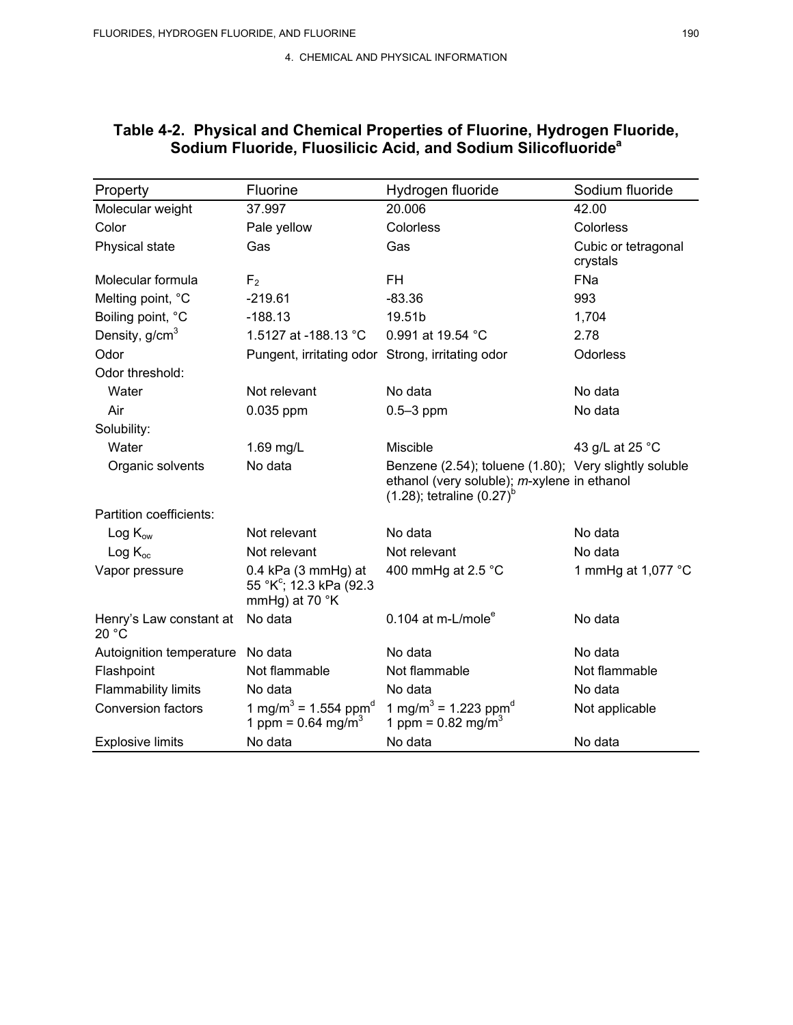| Property                         | Fluorine                                                                         | Hydrogen fluoride                                                                                                                         | Sodium fluoride                 |
|----------------------------------|----------------------------------------------------------------------------------|-------------------------------------------------------------------------------------------------------------------------------------------|---------------------------------|
| Molecular weight                 | 37.997                                                                           | 20.006                                                                                                                                    | 42.00                           |
| Color                            | Pale yellow                                                                      | Colorless                                                                                                                                 | Colorless                       |
| Physical state                   | Gas                                                                              | Gas                                                                                                                                       | Cubic or tetragonal<br>crystals |
| Molecular formula                | F <sub>2</sub>                                                                   | FH                                                                                                                                        | FNa                             |
| Melting point, °C                | $-219.61$                                                                        | $-83.36$                                                                                                                                  | 993                             |
| Boiling point, °C                | $-188.13$                                                                        | 19.51b                                                                                                                                    | 1,704                           |
| Density, g/cm <sup>3</sup>       | 1.5127 at -188.13 °C                                                             | 0.991 at 19.54 °C                                                                                                                         | 2.78                            |
| Odor                             | Pungent, irritating odor Strong, irritating odor                                 |                                                                                                                                           | Odorless                        |
| Odor threshold:                  |                                                                                  |                                                                                                                                           |                                 |
| Water                            | Not relevant                                                                     | No data                                                                                                                                   | No data                         |
| Air                              | 0.035 ppm                                                                        | $0.5 - 3$ ppm                                                                                                                             | No data                         |
| Solubility:                      |                                                                                  |                                                                                                                                           |                                 |
| Water                            | 1.69 mg/L                                                                        | Miscible                                                                                                                                  | 43 g/L at 25 °C                 |
| Organic solvents                 | No data                                                                          | Benzene (2.54); toluene (1.80); Very slightly soluble<br>ethanol (very soluble); m-xylene in ethanol<br>$(1.28)$ ; tetraline $(0.27)^{6}$ |                                 |
| Partition coefficients:          |                                                                                  |                                                                                                                                           |                                 |
| $Log K_{ow}$                     | Not relevant                                                                     | No data                                                                                                                                   | No data                         |
| $Log K_{oc}$                     | Not relevant                                                                     | Not relevant                                                                                                                              | No data                         |
| Vapor pressure                   | $0.4$ kPa (3 mmHg) at<br>55 °K <sup>c</sup> ; 12.3 kPa (92.3<br>mmHg) at 70 °K   | 400 mmHg at 2.5 $^{\circ}$ C                                                                                                              | 1 mmHg at 1,077 °C              |
| Henry's Law constant at<br>20 °C | No data                                                                          | 0.104 at m-L/mole $^e$                                                                                                                    | No data                         |
| Autoignition temperature         | No data                                                                          | No data                                                                                                                                   | No data                         |
| Flashpoint                       | Not flammable                                                                    | Not flammable                                                                                                                             | Not flammable                   |
| <b>Flammability limits</b>       | No data                                                                          | No data                                                                                                                                   | No data                         |
| <b>Conversion factors</b>        | 1 mg/m <sup>3</sup> = 1.554 ppm <sup>d</sup><br>1 ppm = $0.64$ mg/m <sup>3</sup> | 1 mg/m <sup>3</sup> = 1.223 ppm <sup>a</sup><br>1 ppm = $0.82$ mg/m <sup>3</sup>                                                          | Not applicable                  |
| <b>Explosive limits</b>          | No data                                                                          | No data                                                                                                                                   | No data                         |

## **Table 4-2. Physical and Chemical Properties of Fluorine, Hydrogen Fluoride, Sodium Fluoride, Fluosilicic Acid, and Sodium Silicofluoridea**